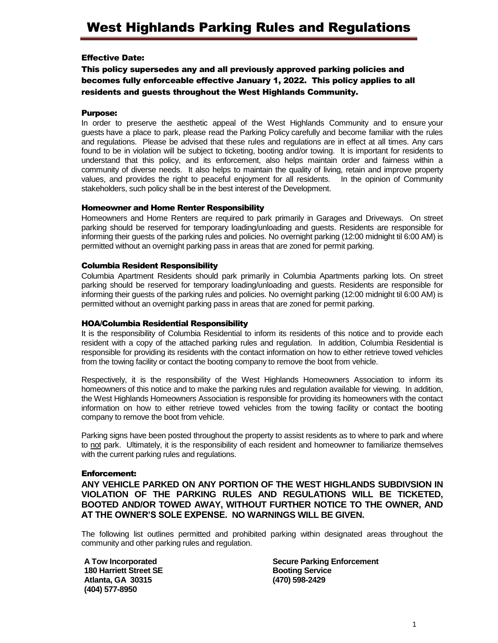# Effective Date:

This policy supersedes any and all previously approved parking policies and becomes fully enforceable effective January 1, 2022. This policy applies to all residents and guests throughout the West Highlands Community.

### Purpose:

In order to preserve the aesthetic appeal of the West Highlands Community and to ensure your guests have a place to park, please read the Parking Policy carefully and become familiar with the rules and regulations. Please be advised that these rules and regulations are in effect at all times. Any cars found to be in violation will be subject to ticketing, booting and/or towing. It is important for residents to understand that this policy, and its enforcement, also helps maintain order and fairness within a community of diverse needs. It also helps to maintain the quality of living, retain and improve property values, and provides the right to peaceful enjoyment for all residents. In the opinion of Community stakeholders, such policy shall be in the best interest of the Development.

## Homeowner and Home Renter Responsibility

Homeowners and Home Renters are required to park primarily in Garages and Driveways. On street parking should be reserved for temporary loading/unloading and guests. Residents are responsible for informing their guests of the parking rules and policies. No overnight parking (12:00 midnight til 6:00 AM) is permitted without an overnight parking pass in areas that are zoned for permit parking.

## Columbia Resident Responsibility

Columbia Apartment Residents should park primarily in Columbia Apartments parking lots. On street parking should be reserved for temporary loading/unloading and guests. Residents are responsible for informing their guests of the parking rules and policies. No overnight parking (12:00 midnight til 6:00 AM) is permitted without an overnight parking pass in areas that are zoned for permit parking.

### HOA/Columbia Residential Responsibility

It is the responsibility of Columbia Residential to inform its residents of this notice and to provide each resident with a copy of the attached parking rules and regulation. In addition, Columbia Residential is responsible for providing its residents with the contact information on how to either retrieve towed vehicles from the towing facility or contact the booting company to remove the boot from vehicle.

Respectively, it is the responsibility of the West Highlands Homeowners Association to inform its homeowners of this notice and to make the parking rules and regulation available for viewing. In addition, the West Highlands Homeowners Association is responsible for providing its homeowners with the contact information on how to either retrieve towed vehicles from the towing facility or contact the booting company to remove the boot from vehicle.

Parking signs have been posted throughout the property to assist residents as to where to park and where to not park. Ultimately, it is the responsibility of each resident and homeowner to familiarize themselves with the current parking rules and regulations.

#### Enforcement:

**ANY VEHICLE PARKED ON ANY PORTION OF THE WEST HIGHLANDS SUBDIVSION IN VIOLATION OF THE PARKING RULES AND REGULATIONS WILL BE TICKETED, BOOTED AND/OR TOWED AWAY, WITHOUT FURTHER NOTICE TO THE OWNER, AND AT THE OWNER'S SOLE EXPENSE. NO WARNINGS WILL BE GIVEN.**

The following list outlines permitted and prohibited parking within designated areas throughout the community and other parking rules and regulation.

**A Tow Incorporated 180 Harriett Street SE Atlanta, GA 30315 (404) 577-8950**

**Secure Parking Enforcement Booting Service (470) 598-2429**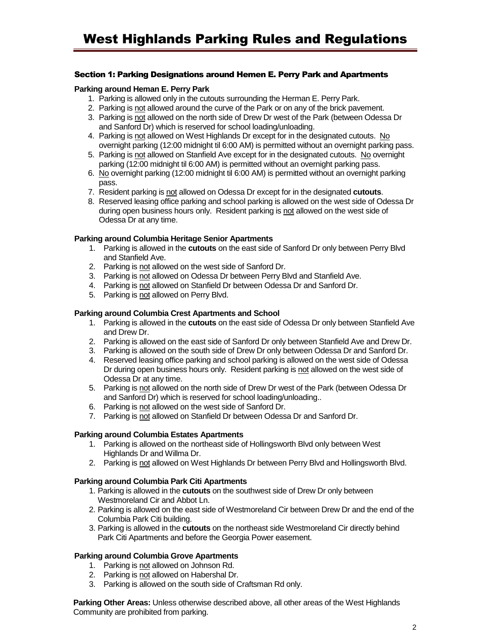## Section 1: Parking Designations around Hemen E. Perry Park and Apartments

### **Parking around Heman E. Perry Park**

- 1. Parking is allowed only in the cutouts surrounding the Herman E. Perry Park.
- 2. Parking is not allowed around the curve of the Park or on any of the brick pavement.
- 3. Parking is not allowed on the north side of Drew Dr west of the Park (between Odessa Dr and Sanford Dr) which is reserved for school loading/unloading.
- 4. Parking is not allowed on West Highlands Dr except for in the designated cutouts. No overnight parking (12:00 midnight til 6:00 AM) is permitted without an overnight parking pass.
- 5. Parking is not allowed on Stanfield Ave except for in the designated cutouts. No overnight parking (12:00 midnight til 6:00 AM) is permitted without an overnight parking pass.
- 6. No overnight parking (12:00 midnight til 6:00 AM) is permitted without an overnight parking pass.
- 7. Resident parking is not allowed on Odessa Dr except for in the designated **cutouts**.
- 8. Reserved leasing office parking and school parking is allowed on the west side of Odessa Dr during open business hours only. Resident parking is not allowed on the west side of Odessa Dr at any time.

## **Parking around Columbia Heritage Senior Apartments**

- 1. Parking is allowed in the **cutouts** on the east side of Sanford Dr only between Perry Blvd and Stanfield Ave.
- 2. Parking is not allowed on the west side of Sanford Dr.
- 3. Parking is not allowed on Odessa Dr between Perry Blvd and Stanfield Ave.
- 4. Parking is not allowed on Stanfield Dr between Odessa Dr and Sanford Dr.
- 5. Parking is not allowed on Perry Blvd.

## **Parking around Columbia Crest Apartments and School**

- 1. Parking is allowed in the **cutouts** on the east side of Odessa Dr only between Stanfield Ave and Drew Dr.
- 2. Parking is allowed on the east side of Sanford Dr only between Stanfield Ave and Drew Dr.
- 3. Parking is allowed on the south side of Drew Dr only between Odessa Dr and Sanford Dr.
- 4. Reserved leasing office parking and school parking is allowed on the west side of Odessa Dr during open business hours only. Resident parking is not allowed on the west side of Odessa Dr at any time.
- 5. Parking is not allowed on the north side of Drew Dr west of the Park (between Odessa Dr and Sanford Dr) which is reserved for school loading/unloading..
- 6. Parking is not allowed on the west side of Sanford Dr.
- 7. Parking is not allowed on Stanfield Dr between Odessa Dr and Sanford Dr.

# **Parking around Columbia Estates Apartments**

- 1. Parking is allowed on the northeast side of Hollingsworth Blvd only between West Highlands Dr and Willma Dr.
- 2. Parking is not allowed on West Highlands Dr between Perry Blvd and Hollingsworth Blvd.

#### **Parking around Columbia Park Citi Apartments**

- 1. Parking is allowed in the **cutouts** on the southwest side of Drew Dr only between Westmoreland Cir and Abbot Ln.
- 2. Parking is allowed on the east side of Westmoreland Cir between Drew Dr and the end of the Columbia Park Citi building.
- 3. Parking is allowed in the **cutouts** on the northeast side Westmoreland Cir directly behind Park Citi Apartments and before the Georgia Power easement.

# **Parking around Columbia Grove Apartments**

- 1. Parking is not allowed on Johnson Rd.
- 2. Parking is not allowed on Habershal Dr.
- 3. Parking is allowed on the south side of Craftsman Rd only.

**Parking Other Areas:** Unless otherwise described above, all other areas of the West Highlands Community are prohibited from parking.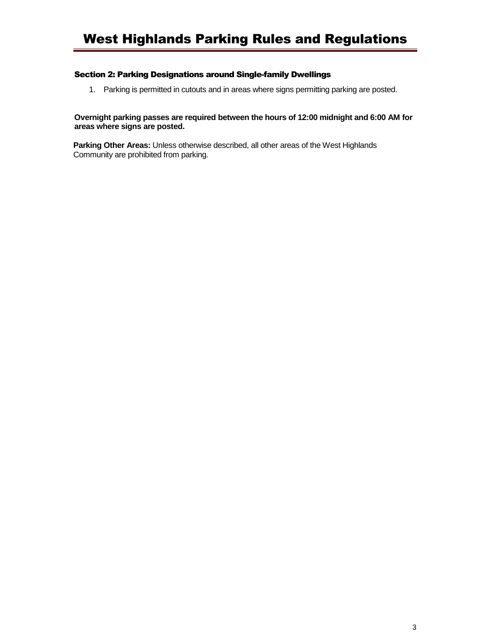## Section 2: Parking Designations around Single-family Dwellings

1. Parking is permitted in cutouts and in areas where signs permitting parking are posted.

# **Overnight parking passes are required between the hours of 12:00 midnight and 6:00 AM for areas where signs are posted.**

**Parking Other Areas:** Unless otherwise described, all other areas of the West Highlands Community are prohibited from parking.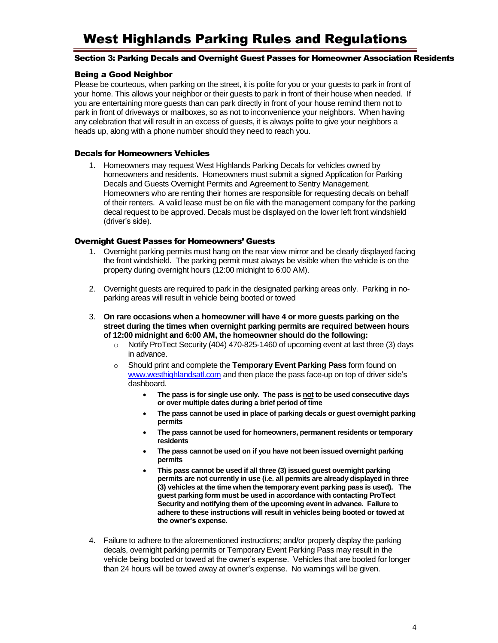# West Highlands Parking Rules and Regulations

#### Section 3: Parking Decals and Overnight Guest Passes for Homeowner Association Residents

### Being a Good Neighbor

Please be courteous, when parking on the street, it is polite for you or your guests to park in front of your home. This allows your neighbor or their guests to park in front of their house when needed. If you are entertaining more guests than can park directly in front of your house remind them not to park in front of driveways or mailboxes, so as not to inconvenience your neighbors. When having any celebration that will result in an excess of guests, it is always polite to give your neighbors a heads up, along with a phone number should they need to reach you.

# Decals for Homeowners Vehicles

1. Homeowners may request West Highlands Parking Decals for vehicles owned by homeowners and residents. Homeowners must submit a signed Application for Parking Decals and Guests Overnight Permits and Agreement to Sentry Management. Homeowners who are renting their homes are responsible for requesting decals on behalf of their renters. A valid lease must be on file with the management company for the parking decal request to be approved. Decals must be displayed on the lower left front windshield (driver's side).

## Overnight Guest Passes for Homeowners' Guests

- 1. Overnight parking permits must hang on the rear view mirror and be clearly displayed facing the front windshield. The parking permit must always be visible when the vehicle is on the property during overnight hours (12:00 midnight to 6:00 AM).
- 2. Overnight guests are required to park in the designated parking areas only. Parking in noparking areas will result in vehicle being booted or towed
- 3. **On rare occasions when a homeowner will have 4 or more guests parking on the street during the times when overnight parking permits are required between hours of 12:00 midnight and 6:00 AM, the homeowner should do the following:**
	- o Notify ProTect Security (404) 470-825-1460 of upcoming event at last three (3) days in advance.
	- o Should print and complete the **Temporary Event Parking Pass** form found on [www.westhighlandsatl.com](http://www.westhighlandsatl.com/) and then place the pass face-up on top of driver side's dashboard.
		- **The pass is for single use only. The pass is not to be used consecutive days or over multiple dates during a brief period of time**
		- **The pass cannot be used in place of parking decals or guest overnight parking permits**
		- **The pass cannot be used for homeowners, permanent residents or temporary residents**
		- **The pass cannot be used on if you have not been issued overnight parking permits**
		- **This pass cannot be used if all three (3) issued guest overnight parking permits are not currently in use (i.e. all permits are already displayed in three (3) vehicles at the time when the temporary event parking pass is used). The guest parking form must be used in accordance with contacting ProTect Security and notifying them of the upcoming event in advance. Failure to adhere to these instructions will result in vehicles being booted or towed at the owner's expense.**
- 4. Failure to adhere to the aforementioned instructions; and/or properly display the parking decals, overnight parking permits or Temporary Event Parking Pass may result in the vehicle being booted or towed at the owner's expense. Vehicles that are booted for longer than 24 hours will be towed away at owner's expense. No warnings will be given.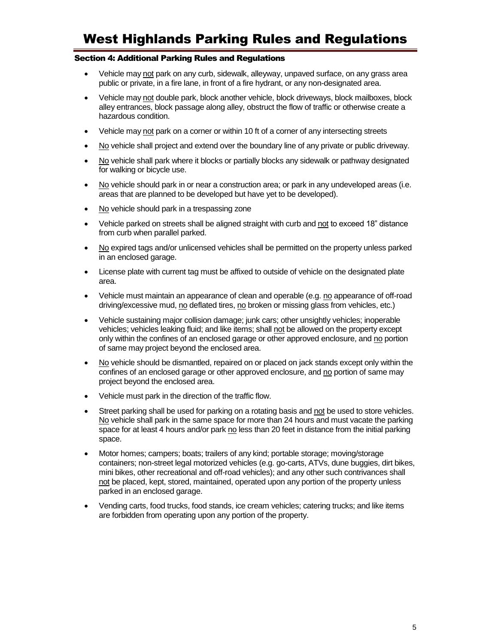# West Highlands Parking Rules and Regulations

### Section 4: Additional Parking Rules and Regulations

- Vehicle may not park on any curb, sidewalk, alleyway, unpaved surface, on any grass area public or private, in a fire lane, in front of a fire hydrant, or any non-designated area.
- Vehicle may not double park, block another vehicle, block driveways, block mailboxes, block alley entrances, block passage along alley, obstruct the flow of traffic or otherwise create a hazardous condition.
- Vehicle may not park on a corner or within 10 ft of a corner of any intersecting streets
- No vehicle shall project and extend over the boundary line of any private or public driveway.
- No vehicle shall park where it blocks or partially blocks any sidewalk or pathway designated for walking or bicycle use.
- No vehicle should park in or near a construction area; or park in any undeveloped areas (i.e. areas that are planned to be developed but have yet to be developed).
- No vehicle should park in a trespassing zone
- Vehicle parked on streets shall be aligned straight with curb and not to exceed 18" distance from curb when parallel parked.
- No expired tags and/or unlicensed vehicles shall be permitted on the property unless parked in an enclosed garage.
- License plate with current tag must be affixed to outside of vehicle on the designated plate area.
- Vehicle must maintain an appearance of clean and operable (e.g. no appearance of off-road driving/excessive mud, no deflated tires, no broken or missing glass from vehicles, etc.)
- Vehicle sustaining major collision damage; junk cars; other unsightly vehicles; inoperable vehicles; vehicles leaking fluid; and like items; shall not be allowed on the property except only within the confines of an enclosed garage or other approved enclosure, and no portion of same may project beyond the enclosed area.
- No vehicle should be dismantled, repaired on or placed on jack stands except only within the confines of an enclosed garage or other approved enclosure, and no portion of same may project beyond the enclosed area.
- Vehicle must park in the direction of the traffic flow.
- Street parking shall be used for parking on a rotating basis and not be used to store vehicles. No vehicle shall park in the same space for more than 24 hours and must vacate the parking space for at least 4 hours and/or park no less than 20 feet in distance from the initial parking space.
- Motor homes; campers; boats; trailers of any kind; portable storage; moving/storage containers; non-street legal motorized vehicles (e.g. go-carts, ATVs, dune buggies, dirt bikes, mini bikes, other recreational and off-road vehicles); and any other such contrivances shall not be placed, kept, stored, maintained, operated upon any portion of the property unless parked in an enclosed garage.
- Vending carts, food trucks, food stands, ice cream vehicles; catering trucks; and like items are forbidden from operating upon any portion of the property.